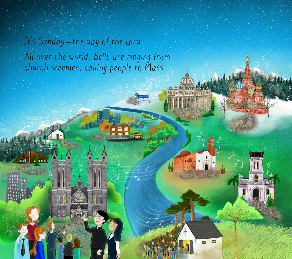## It's Sunday-the day of the Lord! All over the world, bells are ringing from church steeples, calling people to Mass.

**multi** 

5228621

**B 8** 

Hills and will be

 $\blacksquare$ 

E2)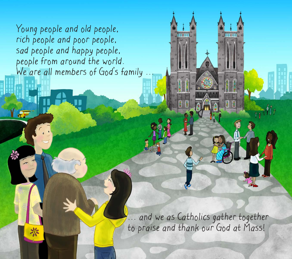Young people and old people, rich people and poor people, sad people and happy people, people from around the world. We are all members of God's family

Y PE

and we as Catholics gather together to praise and thank our God at Mass!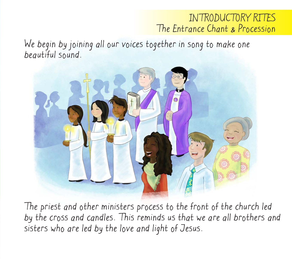## INTRODUCTORY RITES The Entrance Chant & Procession

We begin by joining all our voices together in song to make one beautiful sound.



The priest and other ministers process to the front of the church led by the cross and candles. This reminds us that we are all brothers and sisters who are led by the love and light of Jesus.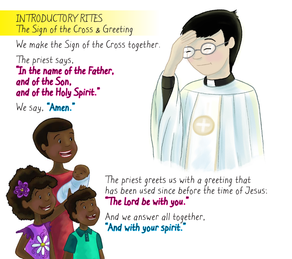INTRODUCTORY RITES The Sign of the Cross & Greeting

We make the Sign of the Cross together.

The priest says, "In the name of the Father, and of the Son, and of the Holy Spirit."

We say, "Amen."





The priest greets us with a greeting that has been used since before the time of Jesus: "The Lord be with you."

And we answer all together, And with your spirit.